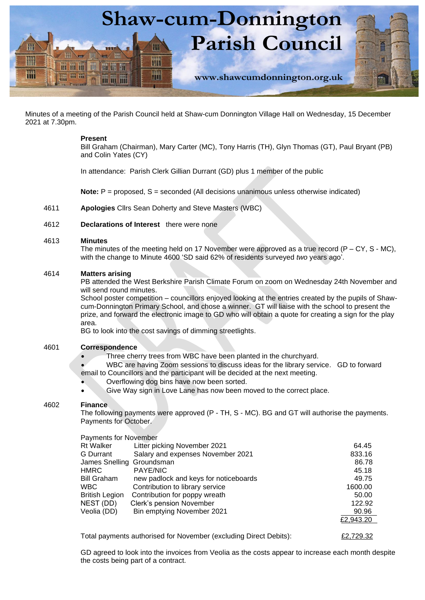

Minutes of a meeting of the Parish Council held at Shaw-cum Donnington Village Hall on Wednesday, 15 December 2021 at 7.30pm.

### **Present**

Bill Graham (Chairman), Mary Carter (MC), Tony Harris (TH), Glyn Thomas (GT), Paul Bryant (PB) and Colin Yates (CY)

4611 **Apologies** Cllrs Sean Doherty and Steve Masters (WBC)

## 4612 **Declarations of Interest** there were none

### 4613 **Minutes**

The minutes of the meeting held on 17 November were approved as a true record  $(P - CY, S - MC)$ , with the change to Minute 4600 'SD said 62% of residents surveyed *two* years ago'.

### 4614 **Matters arising**

PB attended the West Berkshire Parish Climate Forum on zoom on Wednesday 24th November and will send round minutes.

School poster competition – councillors enjoyed looking at the entries created by the pupils of Shawcum-Donnington Primary School, and chose a winner. GT will liaise with the school to present the prize, and forward the electronic image to GD who will obtain a quote for creating a sign for the play area.

## 4601 **Correspondence**

- Overflowing dog bins have now been sorted.
- Give Way sign in Love Lane has now been moved to the correct place.

### 4602 **Finance**

### Payments for November

|                                                                                                                                                                                                    | <b>Shaw-cum-Donnington</b>                                                                                                                                                                                                                                                                                                                                                                   |                                                                                                |
|----------------------------------------------------------------------------------------------------------------------------------------------------------------------------------------------------|----------------------------------------------------------------------------------------------------------------------------------------------------------------------------------------------------------------------------------------------------------------------------------------------------------------------------------------------------------------------------------------------|------------------------------------------------------------------------------------------------|
|                                                                                                                                                                                                    | <b>Parish Council</b><br>H                                                                                                                                                                                                                                                                                                                                                                   |                                                                                                |
| <b>相接前</b>                                                                                                                                                                                         | 珊                                                                                                                                                                                                                                                                                                                                                                                            |                                                                                                |
| TR-TTL-TTL                                                                                                                                                                                         | THE<br>www.shawcumdonnington.org.uk                                                                                                                                                                                                                                                                                                                                                          |                                                                                                |
|                                                                                                                                                                                                    |                                                                                                                                                                                                                                                                                                                                                                                              |                                                                                                |
|                                                                                                                                                                                                    | ting of the Parish Council held at Shaw-cum Donnington Village Hall on Wednesday, 15 Decer                                                                                                                                                                                                                                                                                                   |                                                                                                |
| <b>Present</b><br>and Colin Yates (CY)                                                                                                                                                             | Bill Graham (Chairman), Mary Carter (MC), Tony Harris (TH), Glyn Thomas (GT), Paul Bryant                                                                                                                                                                                                                                                                                                    |                                                                                                |
|                                                                                                                                                                                                    | In attendance: Parish Clerk Gillian Durrant (GD) plus 1 member of the public                                                                                                                                                                                                                                                                                                                 |                                                                                                |
|                                                                                                                                                                                                    | <b>Note:</b> $P =$ proposed, $S =$ seconded (All decisions unanimous unless otherwise indicated)                                                                                                                                                                                                                                                                                             |                                                                                                |
|                                                                                                                                                                                                    | Apologies Cllrs Sean Doherty and Steve Masters (WBC)                                                                                                                                                                                                                                                                                                                                         |                                                                                                |
|                                                                                                                                                                                                    | Declarations of Interest there were none                                                                                                                                                                                                                                                                                                                                                     |                                                                                                |
| <b>Minutes</b>                                                                                                                                                                                     | The minutes of the meeting held on 17 November were approved as a true record ( $P - CY$ , S $\cdot$<br>with the change to Minute 4600 'SD said 62% of residents surveyed two years ago'.                                                                                                                                                                                                    |                                                                                                |
| <b>Matters arising</b><br>will send round minutes.<br>area.                                                                                                                                        | PB attended the West Berkshire Parish Climate Forum on zoom on Wednesday 24th Novemb<br>School poster competition - councillors enjoyed looking at the entries created by the pupils of<br>cum-Donnington Primary School, and chose a winner. GT will liaise with the school to present<br>prize, and forward the electronic image to GD who will obtain a quote for creating a sign for the |                                                                                                |
|                                                                                                                                                                                                    | BG to look into the cost savings of dimming streetlights.                                                                                                                                                                                                                                                                                                                                    |                                                                                                |
| Correspondence                                                                                                                                                                                     | Three cherry trees from WBC have been planted in the churchyard.<br>WBC are having Zoom sessions to discuss ideas for the library service. GD to forwar<br>email to Councillors and the participant will be decided at the next meeting.<br>Overflowing dog bins have now been sorted.<br>Give Way sign in Love Lane has now been moved to the correct place.                                |                                                                                                |
| <b>Finance</b><br>Payments for October.                                                                                                                                                            | The following payments were approved (P - TH, S - MC). BG and GT will authorise the payme                                                                                                                                                                                                                                                                                                    |                                                                                                |
| <b>Payments for November</b><br><b>Rt Walker</b><br>G Durrant<br>James Snelling Groundsman<br><b>HMRC</b><br><b>Bill Graham</b><br><b>WBC</b><br><b>British Legion</b><br>NEST (DD)<br>Veolia (DD) | Litter picking November 2021<br>Salary and expenses November 2021<br><b>PAYE/NIC</b><br>new padlock and keys for noticeboards<br>Contribution to library service<br>Contribution for poppy wreath<br>Clerk's pension November<br>Bin emptying November 2021                                                                                                                                  | 64.45<br>833.16<br>86.78<br>45.18<br>49.75<br>1600.00<br>50.00<br>122.92<br>90.96<br>£2,943.20 |
|                                                                                                                                                                                                    | Total payments authorised for November (excluding Direct Debits):                                                                                                                                                                                                                                                                                                                            | £2,729.32                                                                                      |
|                                                                                                                                                                                                    | GD agreed to look into the invoices from Veolia as the costs appear to increase each month do<br>the costs being part of a contract.                                                                                                                                                                                                                                                         |                                                                                                |

GD agreed to look into the invoices from Veolia as the costs appear to increase each month despite